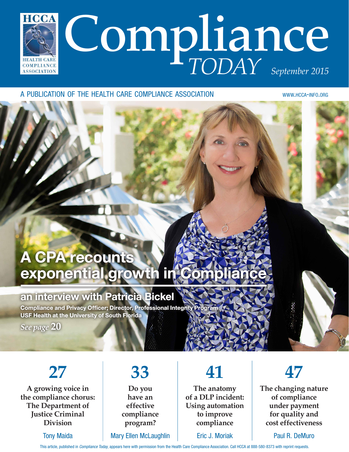

#### A PUBLICATION OF THE HEALTH CARE COMPLIANCE ASSOCIATION WWW.HCCA-INFO.ORG

## A CPA recounts exponential growth in Comp

### an interview with Patricia Bickel

Compliance and Privacy Officer; Director, Professional Integrity P USF Health at the University of South Florida

*See page* **20**

## **27**

**A growing voice in the compliance chorus: The Department of Justice Criminal Division**

Tony Maida

## **33**

**Do you have an effective compliance program?**

#### Mary Ellen McLaughlin

## **41**

**The anatomy of a DLP incident: Using automation to improve compliance**

Eric J. Moriak



**The changing nature of compliance under payment for quality and cost effectiveness**

Paul R. DeMuro

This article, published in Compliance Today, appears here with permission from the Health Care Compliance Association. Call HCCA at 888-580-8373 with reprint requests.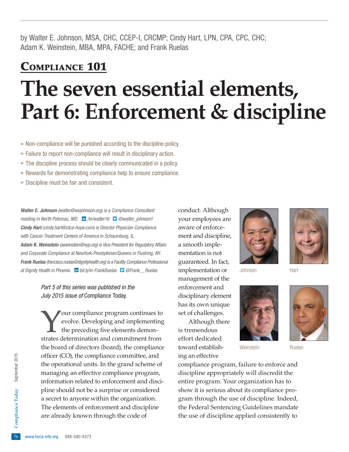by Walter E. Johnson, MSA, CHC, CCEP-I, CRCMP; Cindy Hart, LPN, CPA, CPC, CHC; Adam K. Weinstein, MBA, MPA, FACHE; and Frank Ruelas

# COMPLIANCE 101 **The seven essential elements, Part 6: Enforcement & discipline**

» Non-compliance will be punished according to the discipline policy.

- » Failure to report non-compliance will result in disciplinary action.
- » The discipline process should be clearly communicated in a policy.
- » Rewards for demonstrating compliance help to ensure compliance.
- » Discipline must be fair and consistent.

Walter E. Johnson (walter@wejohnson.org) is a Compliance Consultant residing in North Potomac, MD. in [/in/walter16](http://www.linkedin.com/in/walter16) **D** [@walter\\_johnson1](http://twitter.com/walter_johnson1) Cindy Hart (cindy.hart@ctca-hope.com) is Director Physician Compliance with Cancer Treatment Centers of America in Schaumburg, IL. Adam K. Weinstein (aweinstein@nyp.org) is Vice President for Regulatory Affairs and Corporate Compliance at NewYork-Presbyterian/Queens in Flushing, NY. Frank Ruelas (francisco.ruelas@dignityhealth.org) is a Facility Compliance Professional at Dignity Health in Phoenix. **in** [bit.ly/in-FrankRuelas](http://bit.ly/in-FrankRuelas) **D** @Frank \_ Ruelas

> Part 5 of this series was published in the July 2015 issue of Compliance Today.

The elements of en<br>are already known<br> $\frac{1}{6}$  www.hcca-info.org 888-580-8373 Your compliance program continues to evolve. Developing and implementing the preceding five elements demonstrates determination and commitment from the board of directors (board), the compliance officer (CO), the compliance committee, and the operational units. In the grand scheme of managing an effective compliance program, information related to enforcement and discipline should not be a surprise or considered a secret to anyone within the organization. The elements of enforcement and discipline are already known through the code of

conduct. Although your employees are aware of enforcement and discipline, a smooth implementation is not guaranteed. In fact, implementation or management of the enforcement and disciplinary element has its own unique set of challenges.

Although there is tremendous effort dedicated toward establishing an effective







Weinstein **Ruelas** 



compliance program, failure to enforce and discipline appropriately will discredit the entire program. Your organization has to show it is serious about its compliance program through the use of discipline. Indeed, the Federal Sentencing Guidelines mandate the use of discipline applied consistently to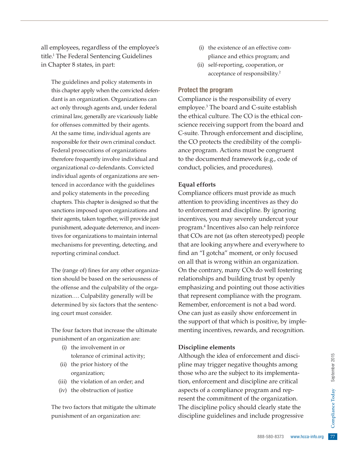all employees, regardless of the employee's title.1 The Federal Sentencing Guidelines in Chapter 8 states, in part:

The guidelines and policy statements in this chapter apply when the convicted defendant is an organization. Organizations can act only through agents and, under federal criminal law, generally are vicariously liable for offenses committed by their agents. At the same time, individual agents are responsible for their own criminal conduct. Federal prosecutions of organizations therefore frequently involve individual and organizational co-defendants. Convicted individual agents of organizations are sentenced in accordance with the guidelines and policy statements in the preceding chapters. This chapter is designed so that the sanctions imposed upon organizations and their agents, taken together, will provide just punishment, adequate deterrence, and incentives for organizations to maintain internal mechanisms for preventing, detecting, and reporting criminal conduct.

The (range of) fines for any other organization should be based on the seriousness of the offense and the culpability of the organization…. Culpability generally will be determined by six factors that the sentencing court must consider.

The four factors that increase the ultimate punishment of an organization are:

- (i) the involvement in or tolerance of criminal activity;
- (ii) the prior history of the organization;
- (iii) the violation of an order; and
- (iv) the obstruction of justice

The two factors that mitigate the ultimate punishment of an organization are:

- (i) the existence of an effective compliance and ethics program; and
- (ii) self-reporting, cooperation, or acceptance of responsibility.2

#### Protect the program

Compliance is the responsibility of every employee.3 The board and C-suite establish the ethical culture. The CO is the ethical conscience receiving support from the board and C-suite. Through enforcement and discipline, the CO protects the credibility of the compliance program. Actions must be congruent to the documented framework (e.g., code of conduct, policies, and procedures).

#### **Equal efforts**

Compliance officers must provide as much attention to providing incentives as they do to enforcement and discipline. By ignoring incentives, you may severely undercut your program.4 Incentives also can help reinforce that COs are not (as often stereotyped) people that are looking anywhere and everywhere to find an "I gotcha" moment, or only focused on all that is wrong within an organization. On the contrary, many COs do well fostering relationships and building trust by openly emphasizing and pointing out those activities that represent compliance with the program. Remember, enforcement is not a bad word. One can just as easily show enforcement in the support of that which is positive, by implementing incentives, rewards, and recognition.

#### **Discipline elements**

ment and disci-<br>
noughts among<br>
its implementa-<br>
line are critical<br>
gram and rep-<br>
e organization.<br>
clearly state the<br>
clude progressive<br>  $\begin{bmatrix}\n\frac{1}{2} & \frac{1}{2} & \frac{1}{2} \\
\frac{1}{2} & \frac{1}{2} & \frac{1}{2} \\
\frac{1}{2} & \frac{1}{2} & \frac{1}{2} \\
\frac{1$ Although the idea of enforcement and discipline may trigger negative thoughts among those who are the subject to its implementation, enforcement and discipline are critical aspects of a compliance program and represent the commitment of the organization. The discipline policy should clearly state the discipline guidelines and include progressive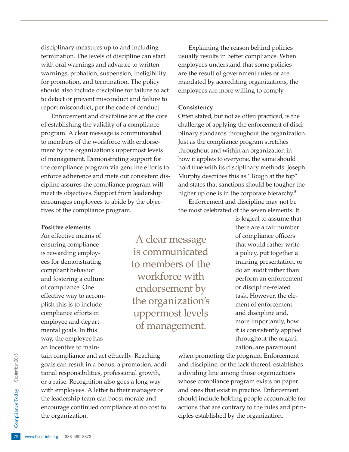disciplinary measures up to and including termination. The levels of discipline can start with oral warnings and advance to written warnings, probation, suspension, ineligibility for promotion, and termination. The policy should also include discipline for failure to act to detect or prevent misconduct and failure to report misconduct, per the code of conduct.

Enforcement and discipline are at the core of establishing the validity of a compliance program. A clear message is communicated to members of the workforce with endorsement by the organization's uppermost levels of management. Demonstrating support for the compliance program via genuine efforts to enforce adherence and mete out consistent discipline assures the compliance program will meet its objectives. Support from leadership encourages employees to abide by the objectives of the compliance program.

Explaining the reason behind policies usually results in better compliance. When employees understand that some policies are the result of government rules or are mandated by accrediting organizations, the employees are more willing to comply.

#### **Consistency**

Often stated, but not as often practiced, is the challenge of applying the enforcement of disciplinary standards throughout the organization. Just as the compliance program stretches throughout and within an organization in how it applies to everyone, the same should hold true with its disciplinary methods. Joseph Murphy describes this as "Tough at the top" and states that sanctions should be tougher the higher up one is in the corporate hierarchy.<sup>5</sup>

Enforcement and discipline may not be the most celebrated of the seven elements. It

#### **Positive elements**

An effective means of ensuring compliance is rewarding employees for demonstrating compliant behavior and fostering a culture of compliance. One effective way to accomplish this is to include compliance efforts in employee and departmental goals. In this way, the employee has an incentive to main-

A clear message is communicated to members of the workforce with endorsement by the organization's uppermost levels of management.

is logical to assume that there are a fair number of compliance officers that would rather write a policy, put together a training presentation, or do an audit rather than perform an enforcementor discipline-related task. However, the element of enforcement and discipline and, more importantly, how it is consistently applied throughout the organization, are paramount

encourage continued compliance at no cost to<br>the organization.<br>
<sup>28</sup> www.hcca-info.org 888-580-8373 tain compliance and act ethically. Reaching goals can result in a bonus, a promotion, additional responsibilities, professional growth, or a raise. Recognition also goes a long way with employees. A letter to their manager or the leadership team can boost morale and the organization.

when promoting the program. Enforcement and discipline, or the lack thereof, establishes a dividing line among those organizations whose compliance program exists on paper and ones that exist in practice. Enforcement should include holding people accountable for actions that are contrary to the rules and principles established by the organization.